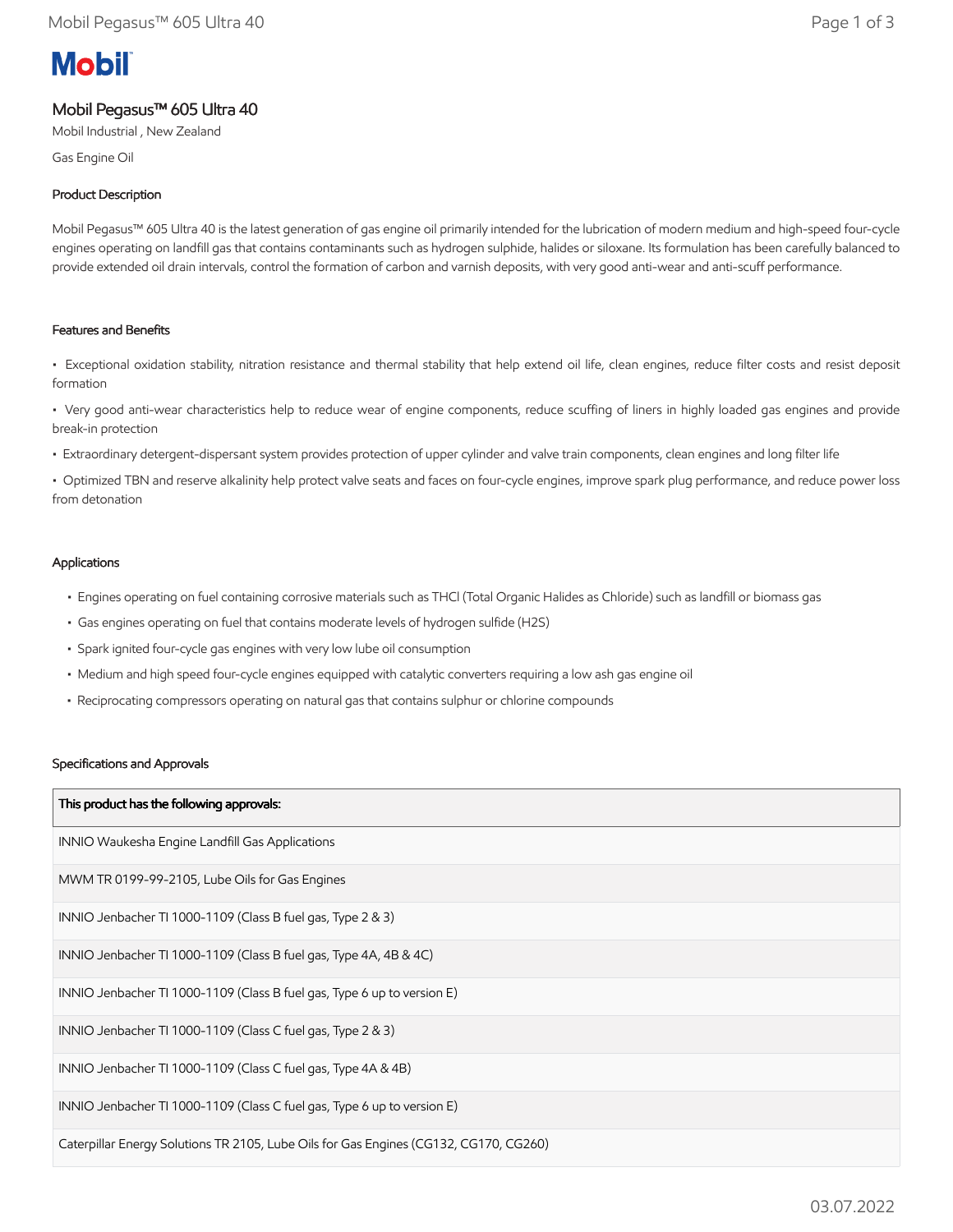# **Mobil**

# Mobil Pegasus™ 605 Ultra 40

Mobil Industrial , New Zealand

Gas Engine Oil

## Product Description

Mobil Pegasus™ 605 Ultra 40 is the latest generation of gas engine oil primarily intended for the lubrication of modern medium and high-speed four-cycle engines operating on landfill gas that contains contaminants such as hydrogen sulphide, halides or siloxane. Its formulation has been carefully balanced to provide extended oil drain intervals, control the formation of carbon and varnish deposits, with very good anti-wear and anti-scuff performance.

### Features and Benefits

• Exceptional oxidation stability, nitration resistance and thermal stability that help extend oil life, clean engines, reduce filter costs and resist deposit formation

• Very good anti-wear characteristics help to reduce wear of engine components, reduce scuffing of liners in highly loaded gas engines and provide break-in protection

• Extraordinary detergent-dispersant system provides protection of upper cylinder and valve train components, clean engines and long filter life

• Optimized TBN and reserve alkalinity help protect valve seats and faces on four-cycle engines, improve spark plug performance, and reduce power loss from detonation

#### Applications

- Engines operating on fuel containing corrosive materials such as THCl (Total Organic Halides as Chloride) such as landfill or biomass gas
- Gas engines operating on fuel that contains moderate levels of hydrogen sulfide (H2S)
- Spark ignited four-cycle gas engines with very low lube oil consumption
- Medium and high speed four-cycle engines equipped with catalytic converters requiring a low ash gas engine oil
- Reciprocating compressors operating on natural gas that contains sulphur or chlorine compounds

#### Specifications and Approvals

| This product has the following approvals:                                             |
|---------------------------------------------------------------------------------------|
| INNIO Waukesha Engine Landfill Gas Applications                                       |
| MWM TR 0199-99-2105, Lube Oils for Gas Engines                                        |
| INNIO Jenbacher TI 1000-1109 (Class B fuel gas, Type 2 & 3)                           |
| INNIO Jenbacher TI 1000-1109 (Class B fuel gas, Type 4A, 4B & 4C)                     |
| INNIO Jenbacher TI 1000-1109 (Class B fuel gas, Type 6 up to version E)               |
| INNIO Jenbacher TI 1000-1109 (Class C fuel gas, Type 2 & 3)                           |
| INNIO Jenbacher TI 1000-1109 (Class C fuel gas, Type 4A & 4B)                         |
| INNIO Jenbacher TI 1000-1109 (Class C fuel gas, Type 6 up to version E)               |
| Caterpillar Energy Solutions TR 2105, Lube Oils for Gas Engines (CG132, CG170, CG260) |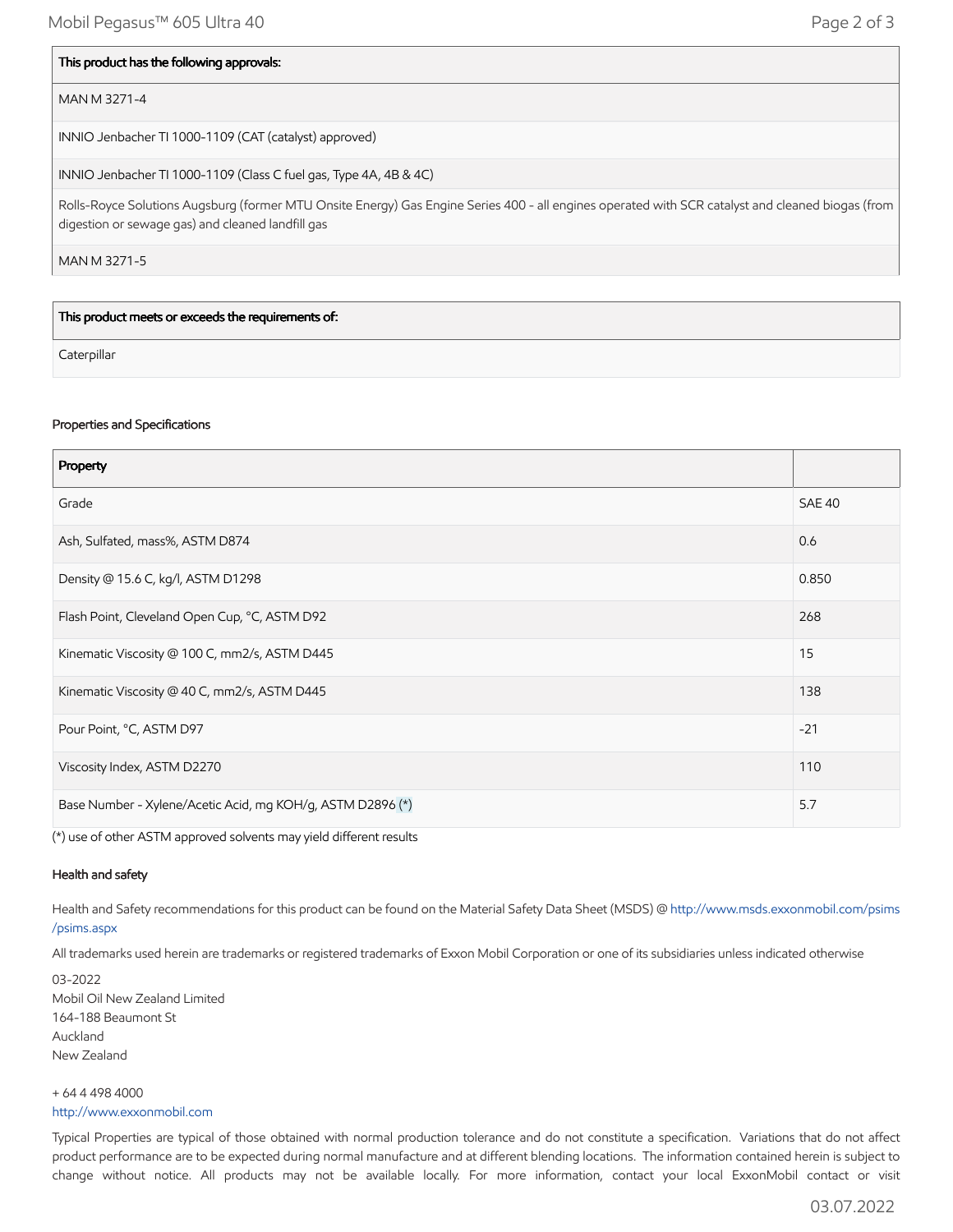#### This product has the following approvals:

#### MAN M 3271-4

INNIO Jenbacher TI 1000-1109 (CAT (catalyst) approved)

INNIO Jenbacher TI 1000-1109 (Class C fuel gas, Type 4A, 4B & 4C)

Rolls-Royce Solutions Augsburg (former MTU Onsite Energy) Gas Engine Series 400 - all engines operated with SCR catalyst and cleaned biogas (from digestion or sewage gas) and cleaned landfill gas

MAN M 3271-5

This product meets or exceeds the requirements of:

**Caterpillar** 

#### Properties and Specifications

| Property                                                   |               |
|------------------------------------------------------------|---------------|
| Grade                                                      | <b>SAE 40</b> |
| Ash, Sulfated, mass%, ASTM D874                            | 0.6           |
| Density @ 15.6 C, kg/l, ASTM D1298                         | 0.850         |
| Flash Point, Cleveland Open Cup, °C, ASTM D92              | 268           |
| Kinematic Viscosity @ 100 C, mm2/s, ASTM D445              | 15            |
| Kinematic Viscosity @ 40 C, mm2/s, ASTM D445               | 138           |
| Pour Point, °C, ASTM D97                                   | $-21$         |
| Viscosity Index, ASTM D2270                                | 110           |
| Base Number - Xylene/Acetic Acid, mg KOH/g, ASTM D2896 (*) | 5.7           |

(\*) use of other ASTM approved solvents may yield different results

#### Health and safety

Health and Safety recommendations for this product can be found on the Material Safety Data Sheet (MSDS) @ [http://www.msds.exxonmobil.com/psims](http://www.msds.exxonmobil.com/psims/psims.aspx) /psims.aspx

All trademarks used herein are trademarks or registered trademarks of Exxon Mobil Corporation or one of its subsidiaries unless indicated otherwise

03-2022 Mobil Oil New Zealand Limited 164-188 Beaumont St Auckland New Zealand

+ 64 4 498 4000 [http://www.exxonmobil.com](http://www.exxonmobil.com/)

Typical Properties are typical of those obtained with normal production tolerance and do not constitute a specification. Variations that do not affect product performance are to be expected during normal manufacture and at different blending locations. The information contained herein is subject to change without notice. All products may not be available locally. For more information, contact your local ExxonMobil contact or visit